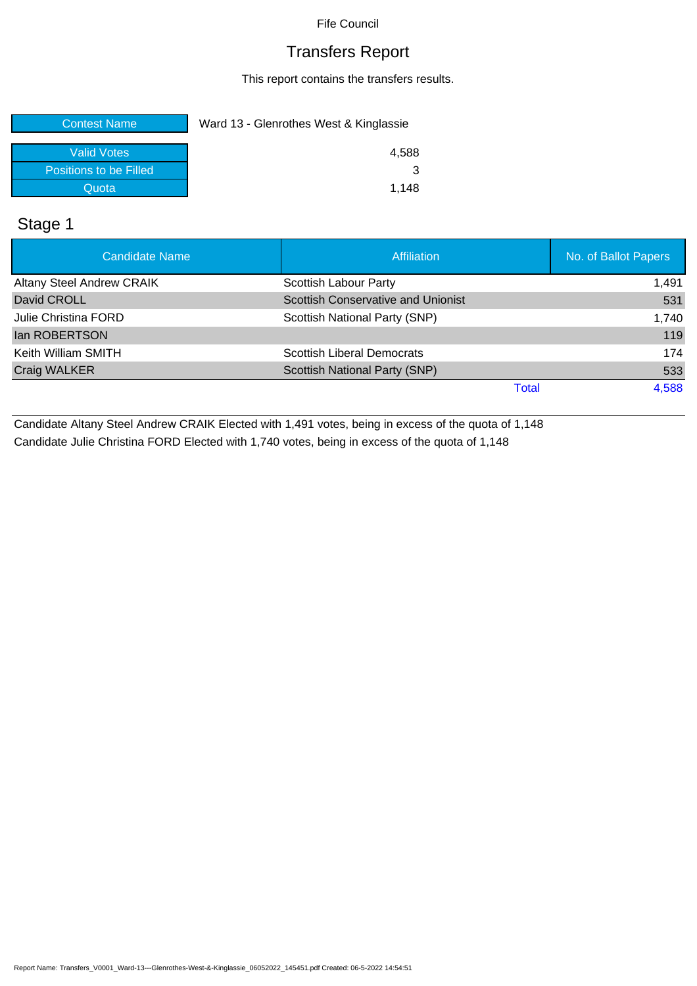## Transfers Report

This report contains the transfers results.

| <b>Contest Name</b>    | Ward 13 - Glenrothes West & Kinglassie |  |  |
|------------------------|----------------------------------------|--|--|
| Valid Votes            | 4.588                                  |  |  |
| Positions to be Filled |                                        |  |  |
| Quota                  | 1.148                                  |  |  |

## Stage 1

| <b>Candidate Name</b>            | <b>Affiliation</b>                        | No. of Ballot Papers |
|----------------------------------|-------------------------------------------|----------------------|
| <b>Altany Steel Andrew CRAIK</b> | Scottish Labour Party                     | 1,491                |
| David CROLL                      | <b>Scottish Conservative and Unionist</b> | 531                  |
| Julie Christina FORD             | Scottish National Party (SNP)             | 1,740                |
| <b>Ian ROBERTSON</b>             |                                           | 119                  |
| Keith William SMITH              | <b>Scottish Liberal Democrats</b>         | 174                  |
| Craig WALKER                     | Scottish National Party (SNP)             | 533                  |
|                                  | Total                                     | 4,588                |

Candidate Altany Steel Andrew CRAIK Elected with 1,491 votes, being in excess of the quota of 1,148 Candidate Julie Christina FORD Elected with 1,740 votes, being in excess of the quota of 1,148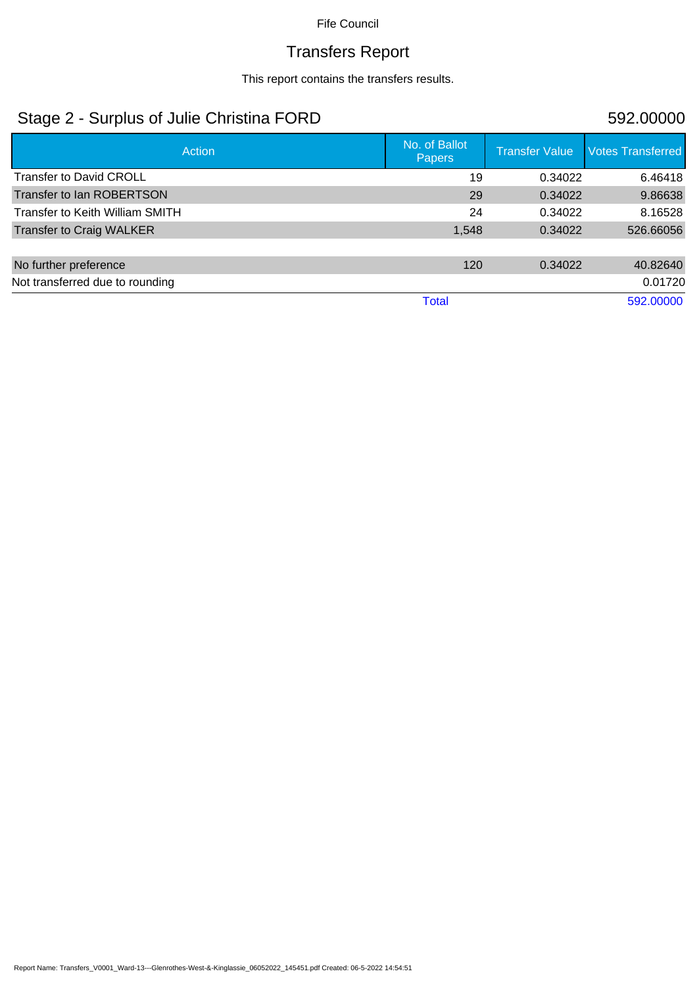## Transfers Report

This report contains the transfers results.

## Stage 2 - Surplus of Julie Christina FORD 592.00000

| Action                          | No. of Ballot<br><b>Papers</b> | <b>Transfer Value</b> | <b>Votes Transferred</b> |
|---------------------------------|--------------------------------|-----------------------|--------------------------|
| <b>Transfer to David CROLL</b>  | 19                             | 0.34022               | 6.46418                  |
| Transfer to Ian ROBERTSON       | 29                             | 0.34022               | 9.86638                  |
| Transfer to Keith William SMITH | 24                             | 0.34022               | 8.16528                  |
| <b>Transfer to Craig WALKER</b> | 1,548                          | 0.34022               | 526.66056                |
|                                 |                                |                       |                          |
| No further preference           | 120                            | 0.34022               | 40.82640                 |
| Not transferred due to rounding |                                |                       | 0.01720                  |
|                                 | <b>Total</b>                   |                       | 592.00000                |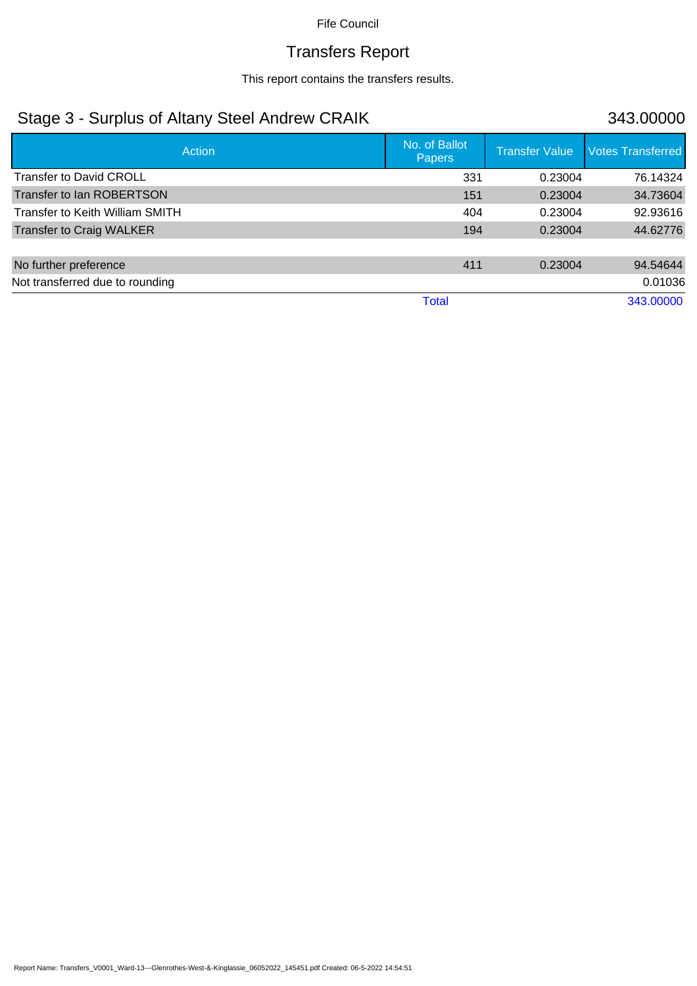## Transfers Report

This report contains the transfers results.

## Stage 3 - Surplus of Altany Steel Andrew CRAIK 343.00000

| Action                          | No. of Ballot<br><b>Papers</b> | <b>Transfer Value</b> | <b>Votes Transferred</b> |
|---------------------------------|--------------------------------|-----------------------|--------------------------|
| <b>Transfer to David CROLL</b>  | 331                            | 0.23004               | 76.14324                 |
| Transfer to Ian ROBERTSON       | 151                            | 0.23004               | 34.73604                 |
| Transfer to Keith William SMITH | 404                            | 0.23004               | 92.93616                 |
| <b>Transfer to Craig WALKER</b> | 194                            | 0.23004               | 44.62776                 |
|                                 |                                |                       |                          |
| No further preference           | 411                            | 0.23004               | 94.54644                 |
| Not transferred due to rounding |                                |                       | 0.01036                  |
|                                 | <b>Total</b>                   |                       | 343.00000                |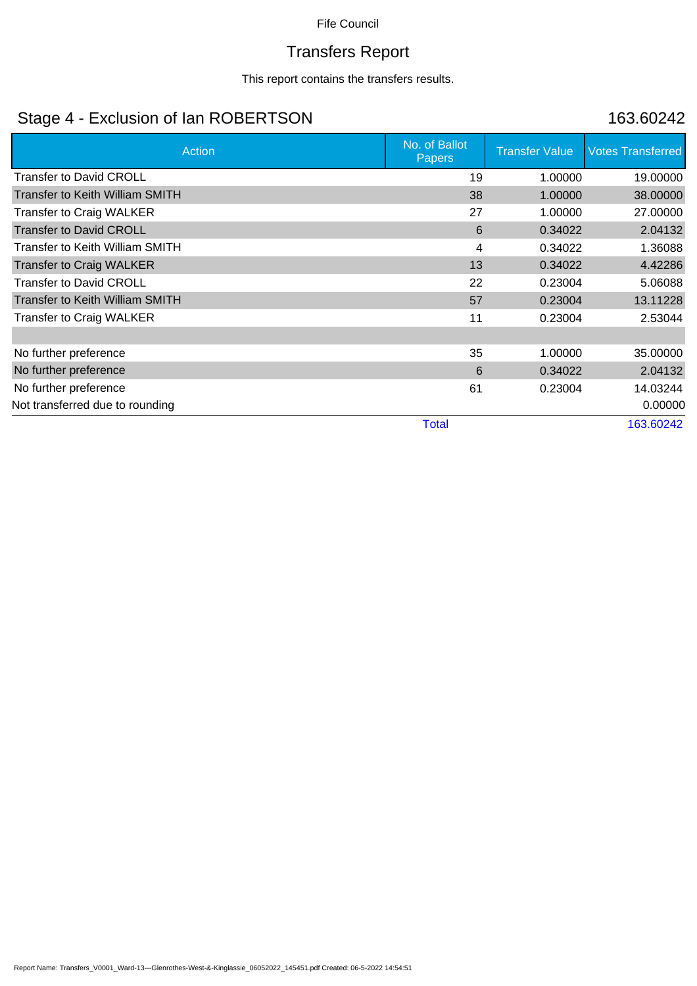# Transfers Report

This report contains the transfers results.

## Stage 4 - Exclusion of Ian ROBERTSON 163.60242

| Action                                 | No. of Ballot<br><b>Papers</b> | <b>Transfer Value</b> | <b>Votes Transferred</b> |
|----------------------------------------|--------------------------------|-----------------------|--------------------------|
| <b>Transfer to David CROLL</b>         | 19                             | 1.00000               | 19.00000                 |
| <b>Transfer to Keith William SMITH</b> | 38                             | 1.00000               | 38.00000                 |
| <b>Transfer to Craig WALKER</b>        | 27                             | 1.00000               | 27.00000                 |
| <b>Transfer to David CROLL</b>         | 6                              | 0.34022               | 2.04132                  |
| Transfer to Keith William SMITH        | 4                              | 0.34022               | 1.36088                  |
| <b>Transfer to Craig WALKER</b>        | 13                             | 0.34022               | 4.42286                  |
| <b>Transfer to David CROLL</b>         | 22                             | 0.23004               | 5.06088                  |
| <b>Transfer to Keith William SMITH</b> | 57                             | 0.23004               | 13.11228                 |
| <b>Transfer to Craig WALKER</b>        | 11                             | 0.23004               | 2.53044                  |
|                                        |                                |                       |                          |
| No further preference                  | 35                             | 1.00000               | 35.00000                 |
| No further preference                  | 6                              | 0.34022               | 2.04132                  |
| No further preference                  | 61                             | 0.23004               | 14.03244                 |
| Not transferred due to rounding        |                                |                       | 0.00000                  |
|                                        | <b>Total</b>                   |                       | 163.60242                |